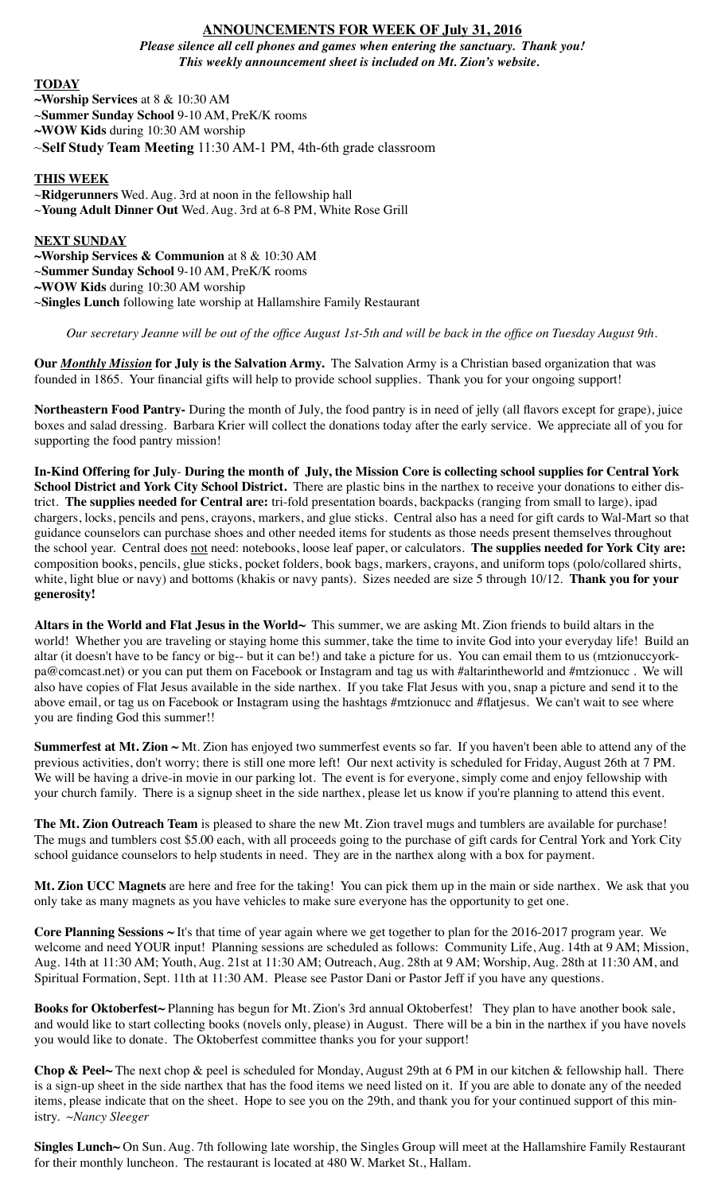# **ANNOUNCEMENTS FOR WEEK OF July 31, 2016**

*Please silence all cell phones and games when entering the sanctuary. Thank you! This weekly announcement sheet is included on Mt. Zion's website.*

## **TODAY**

- **~Worship Services** at 8 & 10:30 AM
- ~**Summer Sunday School** 9-10 AM, PreK/K rooms
- **~WOW Kids** during 10:30 AM worship
- ~**Self Study Team Meeting** 11:30 AM-1 PM, 4th-6th grade classroom

### **THIS WEEK**

~**Ridgerunners** Wed. Aug. 3rd at noon in the fellowship hall ~**Young Adult Dinner Out** Wed. Aug. 3rd at 6-8 PM, White Rose Grill

### **NEXT SUNDAY**

- **~Worship Services & Communion** at 8 & 10:30 AM
- ~**Summer Sunday School** 9-10 AM, PreK/K rooms
- **~WOW Kids** during 10:30 AM worship
- ~**Singles Lunch** following late worship at Hallamshire Family Restaurant

*Our secretary Jeanne will be out of the office August 1st-5th and will be back in the office on Tuesday August 9th.*

**Our** *Monthly Mission* **for July is the Salvation Army.** The Salvation Army is a Christian based organization that was founded in 1865. Your financial gifts will help to provide school supplies. Thank you for your ongoing support!

**Northeastern Food Pantry-** During the month of July, the food pantry is in need of jelly (all flavors except for grape), juice boxes and salad dressing. Barbara Krier will collect the donations today after the early service. We appreciate all of you for supporting the food pantry mission!

**In-Kind Offering for July**- **During the month of July, the Mission Core is collecting school supplies for Central York School District and York City School District.** There are plastic bins in the narthex to receive your donations to either district. **The supplies needed for Central are:** tri-fold presentation boards, backpacks (ranging from small to large), ipad chargers, locks, pencils and pens, crayons, markers, and glue sticks. Central also has a need for gift cards to Wal-Mart so that guidance counselors can purchase shoes and other needed items for students as those needs present themselves throughout the school year. Central does not need: notebooks, loose leaf paper, or calculators. **The supplies needed for York City are:** composition books, pencils, glue sticks, pocket folders, book bags, markers, crayons, and uniform tops (polo/collared shirts, white, light blue or navy) and bottoms (khakis or navy pants). Sizes needed are size 5 through 10/12. **Thank you for your generosity!**

**Altars in the World and Flat Jesus in the World~** This summer, we are asking Mt. Zion friends to build altars in the world! Whether you are traveling or staying home this summer, take the time to invite God into your everyday life! Build an altar (it doesn't have to be fancy or big-- but it can be!) and take a picture for us. You can email them to us (mtzionuccyorkpa@comcast.net) or you can put them on Facebook or Instagram and tag us with #altarintheworld and #mtzionucc . We will also have copies of Flat Jesus available in the side narthex. If you take Flat Jesus with you, snap a picture and send it to the above email, or tag us on Facebook or Instagram using the hashtags #mtzionucc and #flatjesus. We can't wait to see where you are finding God this summer!!

**Summerfest at Mt. Zion ~** Mt. Zion has enjoyed two summerfest events so far. If you haven't been able to attend any of the previous activities, don't worry; there is still one more left! Our next activity is scheduled for Friday, August 26th at 7 PM. We will be having a drive-in movie in our parking lot. The event is for everyone, simply come and enjoy fellowship with your church family. There is a signup sheet in the side narthex, please let us know if you're planning to attend this event.

**The Mt. Zion Outreach Team** is pleased to share the new Mt. Zion travel mugs and tumblers are available for purchase! The mugs and tumblers cost \$5.00 each, with all proceeds going to the purchase of gift cards for Central York and York City school guidance counselors to help students in need. They are in the narthex along with a box for payment.

**Mt. Zion UCC Magnets** are here and free for the taking! You can pick them up in the main or side narthex. We ask that you only take as many magnets as you have vehicles to make sure everyone has the opportunity to get one.

**Core Planning Sessions ~** It's that time of year again where we get together to plan for the 2016-2017 program year. We welcome and need YOUR input! Planning sessions are scheduled as follows: Community Life, Aug. 14th at 9 AM; Mission, Aug. 14th at 11:30 AM; Youth, Aug. 21st at 11:30 AM; Outreach, Aug. 28th at 9 AM; Worship, Aug. 28th at 11:30 AM, and Spiritual Formation, Sept. 11th at 11:30 AM. Please see Pastor Dani or Pastor Jeff if you have any questions.

**Books for Oktoberfest~** Planning has begun for Mt. Zion's 3rd annual Oktoberfest! They plan to have another book sale, and would like to start collecting books (novels only, please) in August. There will be a bin in the narthex if you have novels you would like to donate. The Oktoberfest committee thanks you for your support!

**Chop & Peel~** The next chop & peel is scheduled for Monday, August 29th at 6 PM in our kitchen & fellowship hall. There is a sign-up sheet in the side narthex that has the food items we need listed on it. If you are able to donate any of the needed items, please indicate that on the sheet. Hope to see you on the 29th, and thank you for your continued support of this ministry. *~Nancy Sleeger* 

**Singles Lunch~** On Sun. Aug. 7th following late worship, the Singles Group will meet at the Hallamshire Family Restaurant for their monthly luncheon. The restaurant is located at 480 W. Market St., Hallam.